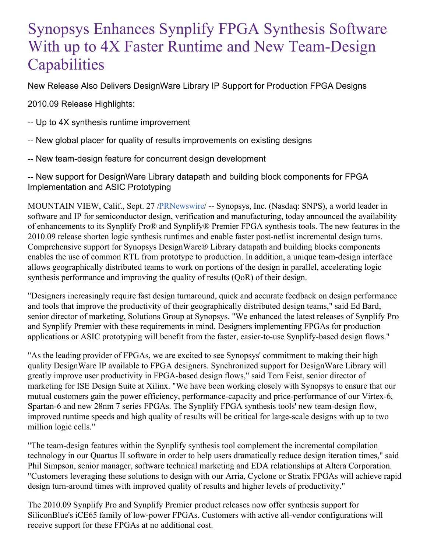# Synopsys Enhances Synplify FPGA Synthesis Software With up to 4X Faster Runtime and New Team-Design **Capabilities**

New Release Also Delivers DesignWare Library IP Support for Production FPGA Designs

2010.09 Release Highlights:

- -- Up to 4X synthesis runtime improvement
- -- New global placer for quality of results improvements on existing designs
- -- New team-design feature for concurrent design development

-- New support for DesignWare Library datapath and building block components for FPGA Implementation and ASIC Prototyping

MOUNTAIN VIEW, Calif., Sept. 27 [/PRNewswire](http://www.prnewswire.com/)/ -- Synopsys, Inc. (Nasdaq: SNPS), a world leader in software and IP for semiconductor design, verification and manufacturing, today announced the availability of enhancements to its Synplify Pro® and Synplify® Premier FPGA synthesis tools. The new features in the 2010.09 release shorten logic synthesis runtimes and enable faster post-netlist incremental design turns. Comprehensive support for Synopsys DesignWare® Library datapath and building blocks components enables the use of common RTL from prototype to production. In addition, a unique team-design interface allows geographically distributed teams to work on portions of the design in parallel, accelerating logic synthesis performance and improving the quality of results (QoR) of their design.

"Designers increasingly require fast design turnaround, quick and accurate feedback on design performance and tools that improve the productivity of their geographically distributed design teams," said Ed Bard, senior director of marketing, Solutions Group at Synopsys. "We enhanced the latest releases of Synplify Pro and Synplify Premier with these requirements in mind. Designers implementing FPGAs for production applications or ASIC prototyping will benefit from the faster, easier-to-use Synplify-based design flows."

"As the leading provider of FPGAs, we are excited to see Synopsys' commitment to making their high quality DesignWare IP available to FPGA designers. Synchronized support for DesignWare Library will greatly improve user productivity in FPGA-based design flows," said Tom Feist, senior director of marketing for ISE Design Suite at Xilinx. "We have been working closely with Synopsys to ensure that our mutual customers gain the power efficiency, performance-capacity and price-performance of our Virtex-6, Spartan-6 and new 28nm 7 series FPGAs. The Synplify FPGA synthesis tools' new team-design flow, improved runtime speeds and high quality of results will be critical for large-scale designs with up to two million logic cells."

"The team-design features within the Synplify synthesis tool complement the incremental compilation technology in our Quartus II software in order to help users dramatically reduce design iteration times," said Phil Simpson, senior manager, software technical marketing and EDA relationships at Altera Corporation. "Customers leveraging these solutions to design with our Arria, Cyclone or Stratix FPGAs will achieve rapid design turn-around times with improved quality of results and higher levels of productivity."

The 2010.09 Synplify Pro and Synplify Premier product releases now offer synthesis support for SiliconBlue's iCE65 family of low-power FPGAs. Customers with active all-vendor configurations will receive support for these FPGAs at no additional cost.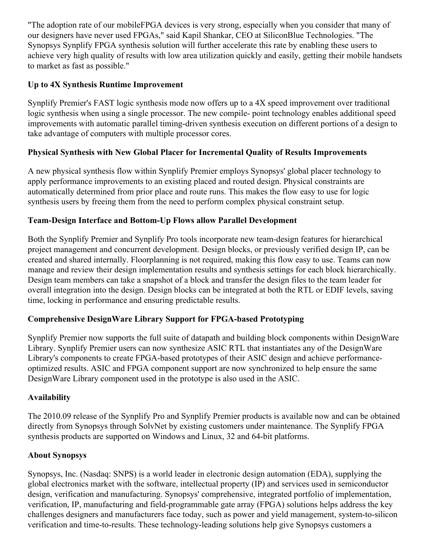"The adoption rate of our mobileFPGA devices is very strong, especially when you consider that many of our designers have never used FPGAs," said Kapil Shankar, CEO at SiliconBlue Technologies. "The Synopsys Synplify FPGA synthesis solution will further accelerate this rate by enabling these users to achieve very high quality of results with low area utilization quickly and easily, getting their mobile handsets to market as fast as possible."

### **Up to 4X Synthesis Runtime Improvement**

Synplify Premier's FAST logic synthesis mode now offers up to a 4X speed improvement over traditional logic synthesis when using a single processor. The new compile- point technology enables additional speed improvements with automatic parallel timing-driven synthesis execution on different portions of a design to take advantage of computers with multiple processor cores.

## **Physical Synthesis with New Global Placer for Incremental Quality of Results Improvements**

A new physical synthesis flow within Synplify Premier employs Synopsys' global placer technology to apply performance improvements to an existing placed and routed design. Physical constraints are automatically determined from prior place and route runs. This makes the flow easy to use for logic synthesis users by freeing them from the need to perform complex physical constraint setup.

#### **Team-Design Interface and Bottom-Up Flows allow Parallel Development**

Both the Synplify Premier and Synplify Pro tools incorporate new team-design features for hierarchical project management and concurrent development. Design blocks, or previously verified design IP, can be created and shared internally. Floorplanning is not required, making this flow easy to use. Teams can now manage and review their design implementation results and synthesis settings for each block hierarchically. Design team members can take a snapshot of a block and transfer the design files to the team leader for overall integration into the design. Design blocks can be integrated at both the RTL or EDIF levels, saving time, locking in performance and ensuring predictable results.

#### **Comprehensive DesignWare Library Support for FPGA-based Prototyping**

Synplify Premier now supports the full suite of datapath and building block components within DesignWare Library. Synplify Premier users can now synthesize ASIC RTL that instantiates any of the DesignWare Library's components to create FPGA-based prototypes of their ASIC design and achieve performanceoptimized results. ASIC and FPGA component support are now synchronized to help ensure the same DesignWare Library component used in the prototype is also used in the ASIC.

#### **Availability**

The 2010.09 release of the Synplify Pro and Synplify Premier products is available now and can be obtained directly from Synopsys through SolvNet by existing customers under maintenance. The Synplify FPGA synthesis products are supported on Windows and Linux, 32 and 64-bit platforms.

#### **About Synopsys**

Synopsys, Inc. (Nasdaq: SNPS) is a world leader in electronic design automation (EDA), supplying the global electronics market with the software, intellectual property (IP) and services used in semiconductor design, verification and manufacturing. Synopsys' comprehensive, integrated portfolio of implementation, verification, IP, manufacturing and field-programmable gate array (FPGA) solutions helps address the key challenges designers and manufacturers face today, such as power and yield management, system-to-silicon verification and time-to-results. These technology-leading solutions help give Synopsys customers a